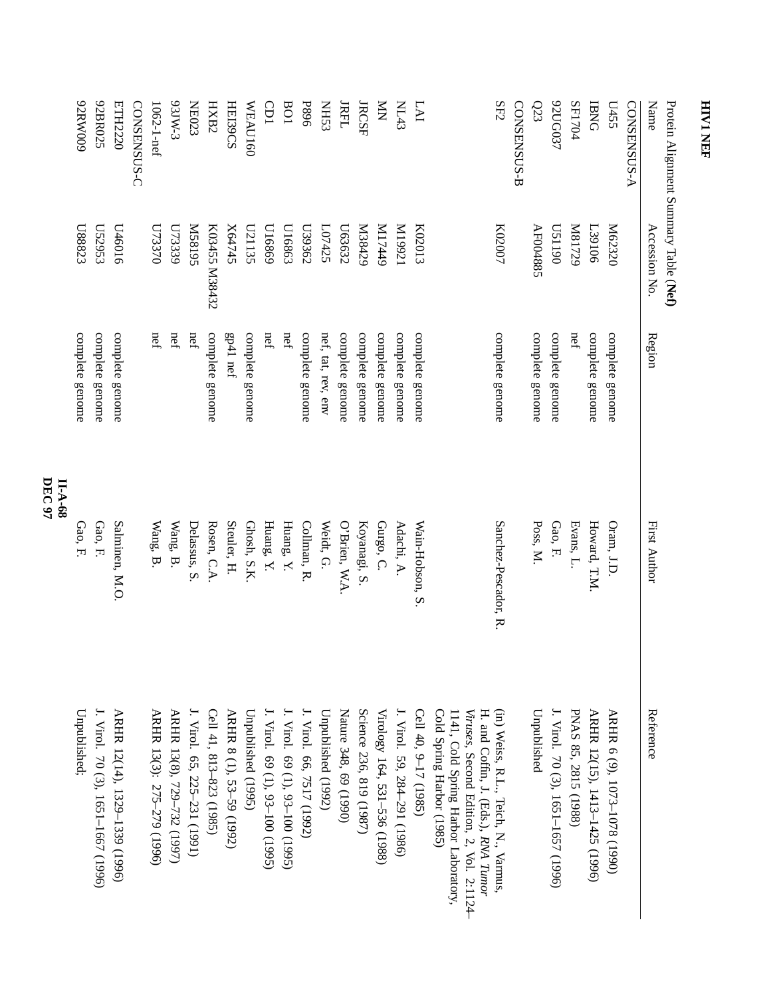|         | 600MN00         | 92BR025                            | ETH2220                       | CONSENSUS-C | $1062 - 1$ -nef            | <b>S-WL59</b>              | <b>NE023</b>                 | HXB2                    | <b>HEI39CS</b>           | WEAU160            | GDI                             | 108                             | <b>P896</b>               | <b>SSHN</b>        | <b>JRFL</b>           | <b>JRCSF</b>            | $\sum_{i=1}^{n}$             | <b>NL43</b>                  | LAI                  | SE2                                                                                                                                                                                         | CONSENSUS-B | $\Omega$ 3      | 92UG037                            | SF1704               | <b>BNG</b>                    | L455                         | <b>CONSENSUS-A</b> | Name          | Protein Alignment Summary Table (Nef) |
|---------|-----------------|------------------------------------|-------------------------------|-------------|----------------------------|----------------------------|------------------------------|-------------------------|--------------------------|--------------------|---------------------------------|---------------------------------|---------------------------|--------------------|-----------------------|-------------------------|------------------------------|------------------------------|----------------------|---------------------------------------------------------------------------------------------------------------------------------------------------------------------------------------------|-------------|-----------------|------------------------------------|----------------------|-------------------------------|------------------------------|--------------------|---------------|---------------------------------------|
|         | L88823          | L52953                             | U46016                        |             | <b>U73370</b>              | U73339                     | S618SM                       | K03455 M38432           | X64745                   | L21135             | U16869                          | L16863                          | L39362                    | L07425             | L63632                | N38429                  | 6ttLIM                       | IZ66IM                       | K02013               | K02007                                                                                                                                                                                      |             | AF004885        | 061150                             | N81729               | <b>L39106</b>                 | M62320                       |                    | Accession No. |                                       |
|         | complete genome | complete genome                    | complete genome               |             | nef                        | nef                        | $n$ ef                       | complete genome         | gp41 nef                 | complete genome    | nef                             | nef                             | complete genome           | nef, tat, rev, env | complete genome       | complete genome         | complete genome              | complete genome              | complete genome      | complete genome                                                                                                                                                                             |             | complete genome | complete genome                    | nef                  | complete genome               | complete genome              |                    | Region        |                                       |
| II-A-68 | Gao, F.         | Gao, F.                            | Salminen, M.O.                |             | Wang, B                    | Wang, B.                   | Delassus, S                  | Rosen, C.A              | Steuler, H.              | Ghosh, S.K.        | Huang, Y.                       | Huang, Y.                       | Collman, R.               | Weidt, G.          | O'Brien, W.A.         | Koyanagi, S.            | Gurgo, C.                    | Adachi, A.                   | Wain-Hobson, S.      | Sanchez-Pescador, R.                                                                                                                                                                        |             | Poss, M.        | Gao, F.                            | Evans, L.            | Howard, T.M.                  | Oram, J.D                    |                    | First Author  |                                       |
|         | Unpublished;    | J. Virol. 70 (3), 1651-1667 (1996) | ARHR 12(14), 1329-1339 (1996) |             | ARHR 13(3): 275-279 (1996) | ARHR 13(8), 729-732 (1997) | J. Virol. 65, 225-231 (1991) | Cell 41, 813-823 (1985) | ARHR 8 (1), 53–59 (1992) | Unpublished (1995) | J. Virol. 69 (1), 93–100 (1995) | J. Virol. 69 (1), 93-100 (1995) | J. Virol. 66, 7517 (1992) | Unpublished (1992) | Nature 348, 69 (1990) | Science 236, 819 (1987) | Virology 164, 531-536 (1988) | J. Virol. 59, 284-291 (1986) | Cell 40, 9-17 (1985) | (in) Weiss, R.L., Teich, N., Varmus<br>H. and Coffin, J. (Eds.), RNA Tumor<br>Cold Spring Harbor (1985)<br>Viruses, Second Edition, 2, Vol. 2:1124-<br>1141, Cold Spring Harbor Laboratory, |             | Unpublished     | J. Virol. 70 (3), 1651-1657 (1996) | PNAS 85, 2815 (1988) | ARHR 12(15), 1413-1425 (1996) | ARHR 6 (9), 1073-1078 (1990) |                    | Reference     |                                       |

**DEC 97**

## **HIV1 NEF**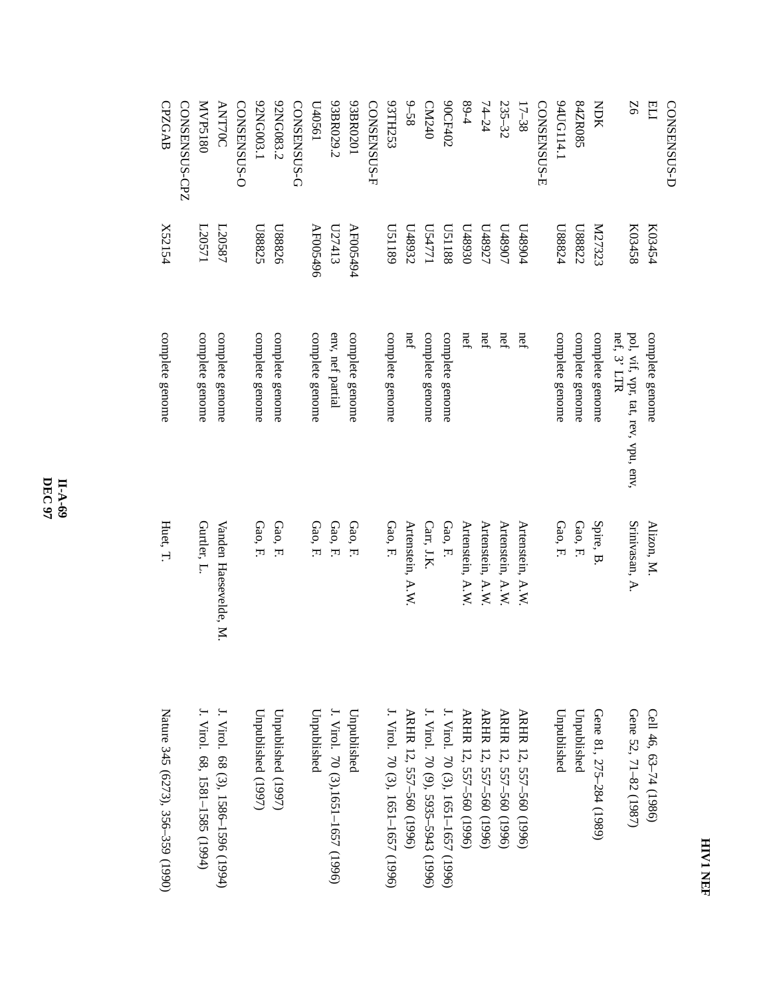| с      |  |
|--------|--|
| ē<br>S |  |

| CONSENSUS-D   |                     |                                                   |                       |                                    |
|---------------|---------------------|---------------------------------------------------|-----------------------|------------------------------------|
| ELI           | K03454              | complete genome                                   | Alizon, M.            | Cell 46, 63-74 (1986)              |
| 9Z            | K03458              | nef, 3' LTR<br>pol, vif, vpr, tat, rev, vpu, env, | Srinivasan, A.        | Gene 52, 71-82 (1987)              |
| <b>NOK</b>    | K27323              | complete genome                                   | Spire, B              | Gene 81, 275-284 (1989)            |
| 84ZR085       | L88822              | complete genome                                   | Gao, F.               | Unpublished                        |
| 94UG114.1     | L88824              | complete genome                                   | Gao, F.               | Unpublished                        |
| CONSENSUS-E   |                     |                                                   |                       |                                    |
| $17 - 38$     | L48904              | nef                                               | Artenstein, A.W       | ARHR 12, 557-560 (1996)            |
| 235-32        | L068 <sup>t</sup> N | nef                                               | Artenstein, A.W.      | ARHR 12, 557-560 (1996)            |
| $74 - 24$     | L78811              | nef                                               | Artenstein, A.W       | ARHR 12, 557-560 (1996)            |
| $89-4$        | 0£6870              | nef                                               | Artenstein, A.W       | ARHR 12, 557-560 (1996)            |
| 90CF402       | 8811SQ              | complete genome                                   | Gao, F.               | J. Virol. 70 (3), 1651–1657 (1996) |
| CM240         | L24771              | complete genome                                   | Carr, J.K.            | J. Virol. 70 (9), 5935–5943 (1996) |
| $9 - 58$      | L48932              | nef                                               | Artenstein, A.W       | ARHR 12, 557-560 (1996)            |
| SSTHTS9       | 6811SQ              | complete genome                                   | Gao, F.               | J. Virol. 70 (3), 1651–1657 (1996) |
| CONSENSUS-F   |                     |                                                   |                       |                                    |
| 93BR0201      | AF005494            | complete genome                                   | Gao, F.               | Unpublished                        |
| 93BR029.2     | E1413               | env, nef partial                                  | Gao, F.               | J. Virol. 70 (3),1651–1657 (1996)  |
| L40561        | AF005496            | complete genome                                   | Gao, F.               | Unpublished                        |
| CONSENSUS-G   |                     |                                                   |                       |                                    |
| 92NG083.2     | U88826              | complete genome                                   | Gao, F.               | Unpublished (1997)                 |
| 92NG003.1     | L88825              | complete genome                                   | Gao, F                | Unpublished (1997)                 |
| CONSENSUS-O   |                     |                                                   |                       |                                    |
| <b>ANT70C</b> | L20587              | complete genome                                   | Vanden Haesevelde, M. | J. Virol. 68 (3), 1586–1596 (1994) |
| MVP5180       | L20571              | complete genome                                   | Gurtler, L            | J. Virol. 68, 1581–1585 (1994)     |
| CONSENSUS-CPZ |                     |                                                   |                       |                                    |
| CPZGAB        | Y52154              | complete genome                                   | Huet, T.              | Nature 345 (6273), 356–359 (1990)  |
|               |                     |                                                   |                       |                                    |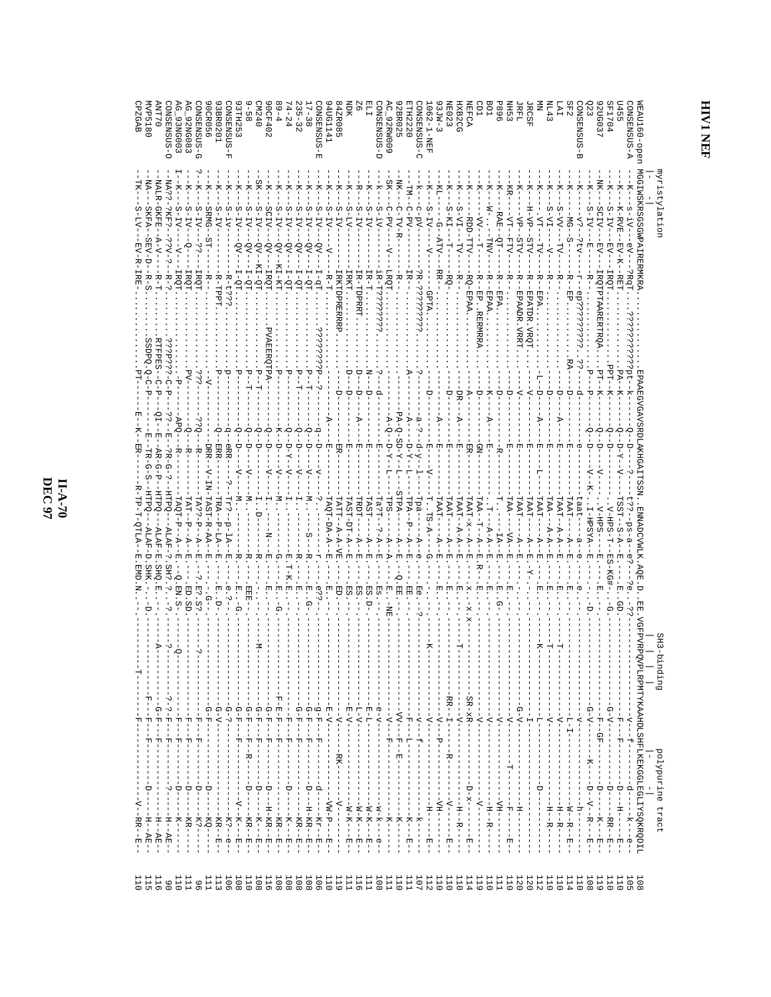$\frac{H-A-70}{\text{DEC~97}}$ 

| MVP5180<br>O-SOSMESNO<br>0 L.L.N<br>$C = 93NEDO3$<br><b>OCR056</b><br>G_92NG083<br>3BR0201<br><b>D-SISNESNO</b>                                                                                                                                                                                                                                                                 | 0 B ZM<br>0CF402<br>$6 - 6$<br><b>A-SOSNESNO</b><br>$4 - 24$<br>3TH253<br>$\frac{1}{8}$<br>$35 - 32$<br>$7 - 38$                                                                                                                                                     | -SQSNREWSO<br>4ZR085<br>딪<br>Q-SOSMENSOO<br>ONSENSUS-C<br>H<br>TH2220<br>40G1141<br><b>C_92RW009</b><br>2BR025<br>闰                                                                                                                                                                                                                   | SF2<br><b>P896</b><br>PO1<br>E 4 1<br>ENB2CG<br>S <sub>ER</sub><br>NEFCA<br><b>TRET</b><br>IY<br>SOSNESNO;<br>EAU160-open<br><b>IE023</b><br><b>TRCSF</b><br>F07794<br>1455<br>$062 - 1 - NEE$<br>20G037<br>$3JW-3$<br>33<br>A-SUSMENS<br>₩                                                                                                                                                                                                                                                                                                                                                                                                                                                                                                                                                                                                                                                                                                                                                      |                  |
|---------------------------------------------------------------------------------------------------------------------------------------------------------------------------------------------------------------------------------------------------------------------------------------------------------------------------------------------------------------------------------|----------------------------------------------------------------------------------------------------------------------------------------------------------------------------------------------------------------------------------------------------------------------|---------------------------------------------------------------------------------------------------------------------------------------------------------------------------------------------------------------------------------------------------------------------------------------------------------------------------------------|--------------------------------------------------------------------------------------------------------------------------------------------------------------------------------------------------------------------------------------------------------------------------------------------------------------------------------------------------------------------------------------------------------------------------------------------------------------------------------------------------------------------------------------------------------------------------------------------------------------------------------------------------------------------------------------------------------------------------------------------------------------------------------------------------------------------------------------------------------------------------------------------------------------------------------------------------------------------------------------------------|------------------|
| NALR-GKFE<br>-NA??<br>-PKF?<br><b>SRMG</b><br>$S-TV$<br>5-IV-<br>-TV-<br>ΞV-<br>ST-<br>$A-V$ – $-$<br>$\dot{\epsilon}$ - $\Delta \dot{\epsilon}$ $\dot{\epsilon}$<br>$-5$<br>$\ddot{\ddot{\delta}}$<br>$-$ R-?<br>-<br>H-R-T<br><b>IRQT</b><br><b>IRQT</b><br><b>IRQT</b><br>남<br>-                                                                                             | $S-TV-$<br>SCIV-<br>$S-TV-$<br>3-IV-<br>$-1_V$<br>$-1\Lambda$ -<br>$-1\Lambda$<br>$-LA$ -<br>$-LV-$<br>$-5V$<br>$-50$ .<br>$-50$ .<br>-vo<br>-vo<br>δV.<br>$CV -$<br>KI-QT.<br>K1-KT<br>-IRQT<br>$L^2 - 7$<br>$L^2 - L$<br>$-5 - 1$<br>π<br>ΔT<br>カード                | МI.<br>c-pv-<br>-PV-<br>コーエマード<br>$-17$<br>$-1A-1$<br>$-1\Lambda$<br>$-1A$<br>$-1V-$<br>$-4A$<br>$-1-$<br>-LA-<br>$-55$<br>IR-<br>$T-R-T$<br>$I - qT$<br>님<br>나<br>LOGT<br>부                                                                                                                                                          | MGGI WSKRSGSGWPAIRERMKRA<br>KR<br>$S - 1V - 8$<br>SCIV-<br>$S-TV-$<br>$S - \Lambda I -$<br>$S-VV-$<br>-KI-<br>$-1\Lambda$ -S<br>H-VP·<br>$S - 1V$<br>K-RVE<br><b>RAE</b><br>$-LA$<br>$\cdot$ VT –<br>$-MG-$<br>$-\Delta b -$<br>RDD-TTV<br>$-M-$<br>$\Delta L = -L\Delta$<br>$\sim$<br>$\frac{1}{1}$<br>$\text{ATV}-$<br>-TO<br><b>STV</b><br>STV.<br>넊<br>TNT<br>-LA-<br>-TV.<br>-A1-<br>日へ上<br>RR-<br>천<br>∻ٍ<br>RETT<br>R-<br>ᆽ<br>ᆽ<br>ヵ<br>주<br>ᆽ                                                                                                                                                                                                                                                                                                                                                                                                                                                                                                                                           | nyristylation    |
| -R-TPPT<br>C-PEPER--C-P<br>きっちょう こーローロー<br>ن ن<br>t                                                                                                                                                                                                                                                                                                                             | I-QT<br>ن:<br>ن:<br>PVAEERQTPA-<br>ᠸ                                                                                                                                                                                                                                 | 32-333533<br><b>IRKH</b><br>IR-TDPRET.<br>IR-T???????<br>IRKTDPREREP<br>$\vdots$                                                                                                                                                                                                                                                      | <b>IRQTPARERTROA</b><br>-<br>50-<br>$-RO-FPPAA$<br>팀<br>ep?<br>EP. RENRRA<br>EPAA<br>EPA<br>EPAADR<br>EPATDR<br>EPA.<br>$X = -L - K$<br>--Ldd<br>i<br>T                                                                                                                                                                                                                                                                                                                                                                                                                                                                                                                                                                                                                                                                                                                                                                                                                                          |                  |
| SPPQ.0-C<br>-- 10<br>$-1 - 1$<br>$ABQ-$<br>$-5.5$<br>ή,<br>Ю<br>변<br>- ERR-<br>DRR-<br>-?R-G-?<br>$\frac{1}{K}$<br>−R−<br>$-AR-G-P$<br>ードー<br>LR-G                                                                                                                                                                                                                              | P<br>Ю<br>Ģ<br>Ю<br>ю<br>eRR-<br>∪<br>$N - 7 - 0$<br>$\overline{\mathrm{A}}$<br>₹-<br>$\overline{z}$                                                                                                                                                                 | U<br>∪<br>U<br>$-5A - Q - SD - Y - -$<br>$- - \nabla$<br>$-5-8$<br>$a - 2 -$<br>∪<br>ā<br>団<br>$-7 - 7 - 0$<br>$-5$                                                                                                                                                                                                                   | EPAAEGVGAVSRDLAKHGAITSSN<br>母<br>∀<br>⊅<br>চ<br>Ģ<br>Q<br>면<br>団<br>固<br>団                                                                                                                                                                                                                                                                                                                                                                                                                                                                                                                                                                                                                                                                                                                                                                                                                                                                                                                       |                  |
| $V-IN-TRST-RA-1$<br>HTPQ-<br>HTPQ-<br>HTPQ<br>TRA--<br>$FAT - -P - -R$<br>$TAQT-P--A$<br>$FA-9$ - $P$ - $R$<br>$P-LA$<br>$-ATTT-$<br>$-ATYH -$<br>固<br>SH?.?<br>SHQ.E<br>$-Q$ .EN.S.<br>Ħ<br>固<br>団                                                                                                                                                                             | Irr?<br>p<br>י<br>Ė<br>固<br>固<br>Ω                                                                                                                                                                                                                                   | STPA-<br>TAST-<br>LAST-DT-A-<br>TPS-<br>rpA--<br>LATT--A-A-AF<br>FRDT-<br>-edi<br>LAQT-DA-A<br>La?T-<br>ヤー<br>– – A<br>Ъ<br>$\mathcal{D}$<br>Ħ<br>固<br>Q.E<br>団<br>団                                                                                                                                                                  | TAA-<br>TAAT-<br>$TAAT--A-A$<br>$FAAT-X--A$<br><b>TAA-</b><br>$TAAT - A - A - A - E$<br>TAAT-<br>TAAT<br><b>LAAT</b><br><b>TAAT</b><br><b>LAAT-</b><br><b>LAA-</b><br>ENNADCVWLK.AQE.<br>$I-HPSYA--E$<br>--SABS--<br>7-RPS-T<br>51<br>$-A-A$<br>-- A-<br>-- AV<br>ーヤー<br>-<br>♭<br>$-4-$<br>I<br>固<br>固<br>ወ<br>ወ<br>固<br>S-KG#                                                                                                                                                                                                                                                                                                                                                                                                                                                                                                                                                                                                                                                                  |                  |
| D.SD<br>:2. S?<br>.<br>-<br>-<br>Ģ<br>$\overline{A}$<br>ن.<br>!<br>$\sum_{i=1}^{n}$                                                                                                                                                                                                                                                                                             |                                                                                                                                                                                                                                                                      |                                                                                                                                                                                                                                                                                                                                       | 9<br>胃<br><b>VGFPVRP</b>                                                                                                                                                                                                                                                                                                                                                                                                                                                                                                                                                                                                                                                                                                                                                                                                                                                                                                                                                                         | SH3-binding      |
| 면<br>-<br>$\frac{1}{1}$<br>$\Delta - \zeta - \zeta$<br>$\frac{1}{2}$<br>$-6 - \Lambda - -$<br>습<br>먹<br>.<br>모<br>$\frac{1}{2}$<br>J.<br>4<br>÷,<br>÷,<br>$\mathsf I$<br>$- - + - - - - -$<br>$\frac{1}{1}$<br>$\frac{1}{1}$<br>$\frac{1}{2}$<br>J.<br>$\frac{1}{1}$<br>т<br>j<br>- 1<br>- 1<br>-<br>щ<br>$\frac{1}{1}$<br>ŧ<br>$\frac{1}{1}$<br>-1<br>J.<br>I.<br>$\mathbf{I}$ | $\frac{1}{2}$<br>п<br>$-6-5$<br>$-1 - 1 - 1 - 1$<br>$\mathbf{I}$<br><u>ဂု</u><br>់<br>មុ<br>$\frac{1}{2}$<br>$-1 - H - -1 - -D -$<br>$\frac{1}{4}$<br>Ţ<br>$\frac{1}{1}$<br>Ť<br>।<br>ਯੂ<br>囡<br>피<br>$\frac{1}{1}$<br>$- - R - -$<br>$\frac{1}{1}$<br>$\frac{1}{1}$ | $-1 - 2 - 1 - 1$<br>-- AV --- H -- H --<br>$-E-V--$<br>$-1 - 1 - -1 - -1 - 5$<br>$E-V---$<br>$L-V$ - $-$<br>E-L-----<br>$-1 - 4 - 9$<br>$- -\Lambda - -$<br>$\blacksquare$<br>$\frac{1}{1}$<br>$\mathsf I$<br>$\frac{1}{1}$<br>$- - KK - - - -$<br>$\frac{1}{1}$<br>$\overline{\phantom{a}}$<br>$\blacksquare$<br>Ţ<br>$\blacksquare$ | VPLRPMTYKAAHDLSHFLKEKGGLEGLIYSQKRQDIL<br>$-SR-XR$ -<br>$--------------$<br>$- - - - - - - - -$<br>$-1 - 4 - 4 - 5 - 7$<br>$- - - - - - - -$<br>$- - - - - - - -$<br>$G - V - -$<br>$- - \Lambda - -$<br>$- -\Lambda - -$<br>$-1$ - $-1$<br>$-1$ - $-1$ - $-1$<br>$-4 - 7 -$<br>나<br>구<br>$\frac{1}{1}$<br>÷,<br>$-4-$<br>$-\Delta$ -<br>$\frac{1}{1}$<br>ţ<br>$\mathbb{L}$<br>$\mathbb{L}$<br>T<br>д<br>$- - B - -$<br>Ţ<br>1<br>$\begin{array}{c} \n\cdot & \cdot \\ \n\cdot & \cdot \\ \n\cdot & \cdot \n\end{array}$<br>Ţ.<br>ı<br>$\begin{array}{c} 1 \\ 1 \\ 1 \end{array}$<br>Ħ<br>1<br>$\frac{1}{1}$<br>$\frac{1}{1}$<br>$\frac{1}{1}$<br>$\frac{1}{1}$<br>$\mathbf{I}$<br>-1<br>$\mathbb T$<br>$\frac{1}{1}$<br>$\frac{1}{1}$<br>$\frac{1}{4}$<br>÷.<br>Ţ                                                                                                                                                                                                                                |                  |
| $\frac{1}{4}$<br>$-1$<br>$-1 - 1 -$<br>$\frac{1}{\sqrt{1}}$<br>$-1$<br>i<br>٠v<br>$-H$ $-H$ $-H$ $-$<br>$-1$ $-1$ $-1$ $-1$<br>$- - - KQ - - - -$<br>$-1 - K + -$<br>$-K$ $\zeta$ $-$<br>--KR--E-<br>$-H--H$<br>$-H$ - $-HH$ -<br>I.<br>J.                                                                                                                                      | $\frac{1}{1}$<br>$-1 - 1 -$<br>$-1 - 2 - 1 - 2 - 1 - 1$<br>$\mathbb T$<br>$\sf I$<br>$-K$ ?--e-                                                                                                                                                                      | Ł<br>$\frac{1}{1}$<br>- - Q - - - - - - K K - - - E -<br>$- - - - - - - -$<br>$\frac{1}{1}$<br>$\mathbb{L}$<br>$-2M-P$ - $-$ E -<br>- - N - - - - H -<br>$-12 - 72 - 72 - - - - - 171 -$<br>$-1N - K - - - - - -$<br>$-1 - 1 - 1$<br>$-1 - 7 - 1$<br>$---k---$<br>$-K - -K - -$<br>$\frac{1}{1}$                                      | $\frac{1}{1} - \frac{1}{1} - \frac{1}{1} - \frac{1}{1} - \frac{1}{1} - \frac{1}{1} - \frac{1}{1} - \frac{1}{1} - \frac{1}{1} - \frac{1}{1} - \frac{1}{1} - \frac{1}{1} - \frac{1}{1} - \frac{1}{1} - \frac{1}{1} - \frac{1}{1} - \frac{1}{1} - \frac{1}{1} - \frac{1}{1} - \frac{1}{1} - \frac{1}{1} - \frac{1}{1} - \frac{1}{1} - \frac{1}{1} - \frac{1}{1} - \frac{1}{1} - \frac{1}{1} - \frac{1$<br>ł.<br>$\begin{array}{c} 1 \\ 1 \\ 1 \end{array}$<br>$\frac{1}{1}$<br>$\frac{1}{1}$<br>$\frac{1}{1}$<br>$\frac{1}{1}$<br>$\frac{1}{1}$<br>ŧ<br>-<br>$\frac{1}{1}$<br>$-1 - 1 - 1 - 1 - 1 - 1$<br>$D - x - - - - - - - - -$<br>$\mathsf I$<br>$\frac{1}{\sqrt{2}}$<br>$- -$<br>$\mathbb T$<br>$-1 - 1 - 1$<br>$-HM--$<br>$-HM-$<br>$-1 - 1$<br>$-H-1$<br>$-1$<br>$\frac{1}{1}$<br>$\frac{1}{1}$<br>- H - - - - - -<br>$\frac{1}{1}$<br>T<br>$\overline{\phantom{a}}$<br>I<br>I<br>$-\frac{1}{2}$<br>l.<br>ł<br>ŧ<br>J<br>ì<br>÷.<br>ø<br>ţ<br>トーー<br>円!<br> <br>I<br>固<br>T<br>$\mathbf{I}$ | polypurine tract |
| 110<br>111<br>116<br>LII<br>113<br>115<br>$\frac{8}{1}$<br>96                                                                                                                                                                                                                                                                                                                   | 106<br>108<br>110<br>108<br>108<br>116<br>108<br>108<br>108                                                                                                                                                                                                          | 106<br>110<br>L <sub>1</sub> 1<br>108<br>110<br>107<br>119<br>111<br>116<br>E<br><b>LI1</b>                                                                                                                                                                                                                                           | 108<br><b>119</b><br>108<br>110<br>110<br>111<br>110<br>120<br>112<br>110<br>110<br>114<br>110<br><b>110</b><br>110<br>105<br>112<br>110<br>110<br>114<br>119<br>120                                                                                                                                                                                                                                                                                                                                                                                                                                                                                                                                                                                                                                                                                                                                                                                                                             |                  |

**HIVI NEF**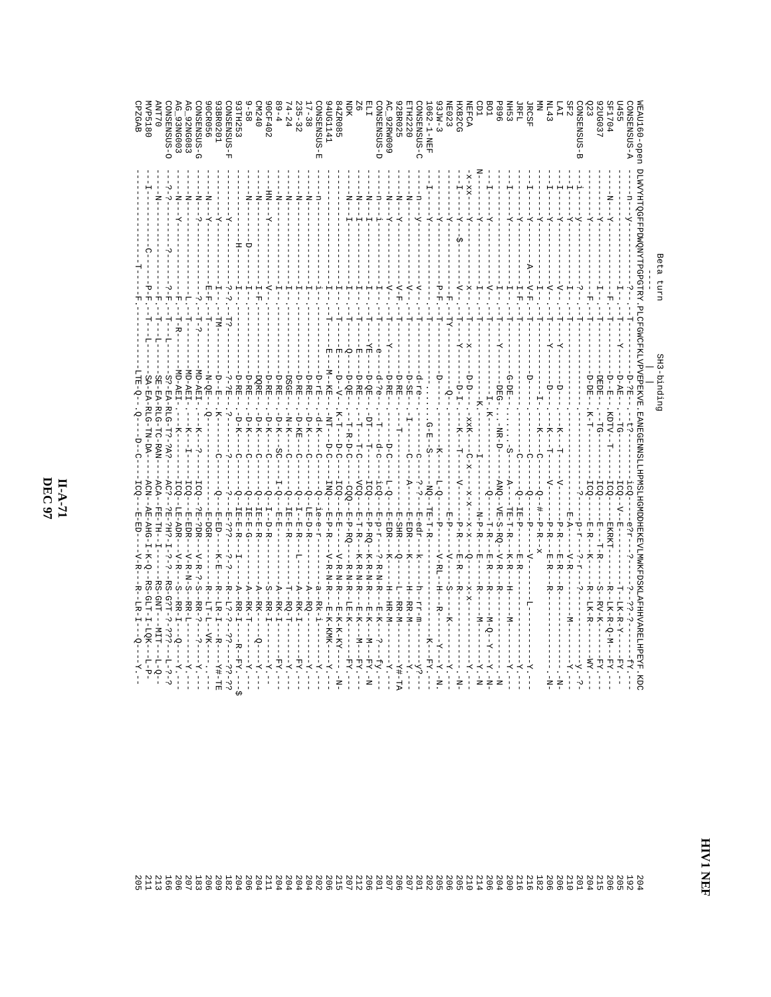$\frac{H-A-71}{\text{DEC~97}}$ 

|                                |                                                                                                               | Beta<br>uxn <sub>1</sub> |                | SH3-binding                                     |                                          |                                                              |                                                                 |                                      |
|--------------------------------|---------------------------------------------------------------------------------------------------------------|--------------------------|----------------|-------------------------------------------------|------------------------------------------|--------------------------------------------------------------|-----------------------------------------------------------------|--------------------------------------|
| EAU160-open<br><b>ONSENSUS</b> | DLAVYNTINGEFPDAVNYNTPGPGTRY. PLOFGWGFYLJVPVDPYN, EANEGEMNSLLHPMSLLHGMDPHEKEVLWANNAN, EANEGEFPLYSTER FRYFTSTRY |                          |                | ロー・ロー                                           | ä                                        |                                                              |                                                                 |                                      |
|                                |                                                                                                               |                          |                | $D - A E$                                       | ICQ-                                     |                                                              |                                                                 | EY.                                  |
| 20G037<br>F1704                | Ż<br>                                                                                                         |                          |                | UBUR-<br><b>ローロー・ロー</b><br>KDTV--               | TCQ-<br>ICQ.                             | ローー ローカ<br><b>EXRKT-</b>                                     | S<br>-RV-K-<br>LK-R-Q-M-                                        | $-LA$<br>$-LA$                       |
|                                | $-K-$                                                                                                         |                          |                | ローロロー<br>$K-T-$                                 | $-5C0$                                   | E-R-                                                         | ₩<br>LK-R                                                       | $-Mz$ .                              |
| SF2<br>-SUSNERNOC<br>ώ         | $-5$                                                                                                          |                          |                |                                                 |                                          | $F - T$                                                      |                                                                 | ÷.                                   |
| F                              | $-\vec{X}$                                                                                                    |                          |                |                                                 |                                          | P-R--<br>$E - R$<br>$V - R$                                  | ヵ                                                               | $\ddot{\cdot}$                       |
| SP 71                          | $-5$                                                                                                          |                          |                | ÷<br>ن<br>ب                                     |                                          | $P-R$ --<br>田-R<br>R                                         | ヵ                                                               |                                      |
|                                | $-\vec{X}$                                                                                                    |                          |                | K--                                             | $\frac{1}{\mathcal{Q}}$                  | $P-R$ - $R$                                                  |                                                                 |                                      |
| <b>IRFL</b><br><b>JRCSF</b>    | $\ddot{x}$                                                                                                    | $\Delta - F$<br>H<br>뇌   |                | $-1$                                            | ∩<br>م.<br>أ                             | $LR-P-$<br>모<br>田上氏                                          |                                                                 | $\overline{X}$ .                     |
| S <sub>ER</sub>                | $\dot{x}$                                                                                                     |                          |                | G-DE---<br>$-5 -$                               |                                          | <b>HR-H-R-</b><br>$-K - R$                                   | Ξ                                                               | $-X$ -                               |
| 968                            |                                                                                                               |                          |                | $-DEG-$ .<br>- NH - ロー                          | $-5M$                                    | $\mathbf{VE}-\mathbf{S}-\mathbf{RQ} - \mathbf{V}-\mathbf{R}$ | ₩                                                               |                                      |
|                                | $-\frac{1}{A}$                                                                                                |                          |                |                                                 |                                          | г-R-<br>E-R-                                                 | ₩<br>$-X - 0 - N -$                                             | $-K - N$                             |
|                                | $-K-$                                                                                                         |                          |                | xxX-------x--                                   |                                          | $N - P - R -$<br>별                                           | ᆽ                                                               | $N - 7$                              |
| EFCA<br><b>XB2CG</b>           | $\overline{K}$                                                                                                |                          |                | $-X$                                            |                                          | ロードー<br>$x - x - -$<br>ヨー氏<br>$\sum_{i=1}^{n}$               | $-X-X$ -<br>₩                                                   | $\cdot - \cdot \cdot -$              |
| E033                           | $-5$                                                                                                          |                          |                |                                                 |                                          | 円 - ヤー                                                       | S                                                               | $-X$ -                               |
| $3JW-3$<br>$082 - 1 - MEE$     | $-7-$<br>$-7-$                                                                                                |                          |                | $-5 - E$                                        |                                          | 1E-1-F-R<br>언<br>$N-KI$                                      | -<br>トー                                                         | $-1.74$<br>$K - X -$                 |
| ONSENSUS-C                     | $-5$                                                                                                          |                          |                |                                                 |                                          | E-edr-                                                       | $u - x x -$                                                     |                                      |
| LH2220                         | $-1$                                                                                                          |                          |                | <b>D-SE</b>                                     | á<br>ー<br>ナー                             | E-EDR-<br>$X -$                                              | -H-HH-HH                                                        | $-K$ -                               |
| C_92RW009<br>2BR025            | $\frac{1}{4}$<br>$\frac{1}{2}$<br>$-5 -$                                                                      | くー                       |                | ロードド<br>D-RE.                                   | $\overline{C}$                           | E-EDR-<br>E-SHR-<br>ρ                                        | $-1$ $-1$ $-1$ $-1$ $-1$<br>-RR-M                               | $-1.7 -$<br>$-1 + 1$                 |
| <b>G-SOSNESNG</b>              | $\overline{u}$                                                                                                |                          | $\dot{\sigma}$ | $-d-c$ .                                        | $-i$ c $Q$ -<br>$-5 - 7$                 | $2 - R - N - R$                                              | $K-K$<br>$\frac{1}{1}$                                          | $-5y -$                              |
|                                | $-1$                                                                                                          |                          | $\overline{H}$ | D-QE                                            | $-501$                                   | E-P-RO--<br>$K-K-K-K-K$                                      | <b>H-K---N--</b>                                                | $N- X.A -$                           |
|                                | ż                                                                                                             |                          | н<br>青         | ロード圧<br>- 11 - 1 - 11 - 0                       | $-600-$                                  | 因ー コーカー<br>$K-K-K-K-K$                                       | $-E-K$<br>$- -M - -$                                            | $-LX$ -                              |
| 12R085                         |                                                                                                               |                          | Ю<br>固         | D-QE<br>メーユーーローロ<br>ユーヌーロー                      | $-5CQ -$<br>$-000 -$                     | ローロード<br>シーヒーロード<br>$-K-K-K$                                 | $-{\bf K}-{\bf K}-{\bf K}-{\bf K}-$<br>$L.E-K$<br>$\frac{1}{1}$ | $-KA$ -                              |
| EDG1141                        |                                                                                                               |                          |                | -<br>-<br>-<br>-                                | i<br>D-C<br><b>DNI</b>                   | E-P-R-<br>V-R-N-R                                            | E-K-KMK-                                                        |                                      |
| -SUSNERS<br>固                  |                                                                                                               |                          |                | $R - K -$                                       | $\frac{1}{\Omega}$                       | $I = -e - T$                                                 | ά<br>--Rk-1                                                     |                                      |
| $-38$                          |                                                                                                               |                          |                | ローロー<br>$-1$                                    | $\frac{1}{\Omega}$                       | ローローマー                                                       |                                                                 | $\overline{z}$ .                     |
| $35 - 32$<br>$1 - 24$          | ź                                                                                                             |                          |                | - マーヌ田<br>DSGE<br>E<br>- - D - KE - -<br>$-N-K$ | C<br>◠                                   | $IR-ER-RE$<br>E-R                                            | --RQ-T<br>$-$ BK $-1$                                           | $\overline{K}$ .                     |
| 9 – 4                          | ż                                                                                                             |                          |                | ロードド<br>$-5 - K -$<br>$-5C$                     |                                          | 님<br>면 -                                                     | --RK-1                                                          |                                      |
| <b>OCF402</b>                  | $\frac{1}{2}$                                                                                                 |                          |                | - ロード圧<br>$-L-K-$                               | $\frac{1}{\Omega}$                       | L – D – R                                                    | C<br>--RR-1                                                     |                                      |
| 0 \$ 2 M<br>$-58$              | ź<br>ź                                                                                                        | ∪                        |                | D-RE<br>DQRE<br>$-1 - 7 - 7 - 7$<br>$-5 - K -$  | $\frac{1}{\Omega}$<br>$\frac{1}{\Omega}$ | $I B - F - R$                                                | $-177$<br>خ<br>۱                                                | $\overline{X}$ .<br>$\overline{K}$ . |
| 3TH253                         |                                                                                                               | 푸                        |                | D-RE<br>$-1 - K -$                              | Ω                                        | - E - E - E                                                  | -<br>- K-                                                       | $-FAX -$                             |
| <b>ONSENSUS-F</b>              | $-7-$                                                                                                         |                          |                | ここ田<br>ن.<br>ا                                  |                                          | ローコ<br>ن.<br>- ب                                             | ᆽ<br>$-2.5 -$                                                   | $-3.3 - 5$                           |
| 3BR0201                        | $- X -$                                                                                                       |                          | $-LM -$        | <b>ローローロー</b><br>$K -$                          | ∩                                        | - <sub>면</sub> – 면 ) –<br>$K - E$                            | ᆽ<br>$-1 - 1R - T$<br>$- - -$ B $-$                             | $-L++T-$                             |
| <b>OCR056</b><br>D-SOSNESNO    | $\frac{1}{2}$<br>$-K-$                                                                                        | 中                        | ÷<br>Τ-?       | N-QE-                                           | ICQ-                                     | 2日-2DR<br>E-DGR<br>$V - R -$                                 | J<br>Q<br>₩<br>$-NK-$<br>$\frac{1}{2}$                          |                                      |
| 92NG083                        |                                                                                                               |                          | 부              | ド                                               | <b>ICQ</b>                               | $V - R - N - S$                                              |                                                                 |                                      |
| 93NG003                        | ź                                                                                                             |                          | Г – R –        |                                                 | ICQ-                                     | LE – ADR –<br>$\sum_{k=1}^{n}$                               | S<br>-RR-1<br>÷                                                 |                                      |
| O-SOSNEXC                      |                                                                                                               | ᅿ                        | ۲<br>ا<br>ᡛ    | S?-EA-RLG-T?-2A?                                | AC?-                                     | 2日-2日1-1-1-1-2                                               | -RS-G?T-?<br>$-333 -$                                           | $2 - 3 - 3$                          |
| 0.11N<br>/P5180                |                                                                                                               |                          |                | SE-RA-RLG-HC-RAN                                | ACA                                      |                                                              | $-11M$                                                          | -7-0-                                |
| <b>PZGAB</b>                   |                                                                                                               |                          |                |                                                 |                                          |                                                              |                                                                 |                                      |
|                                |                                                                                                               |                          |                |                                                 |                                          |                                                              |                                                                 |                                      |